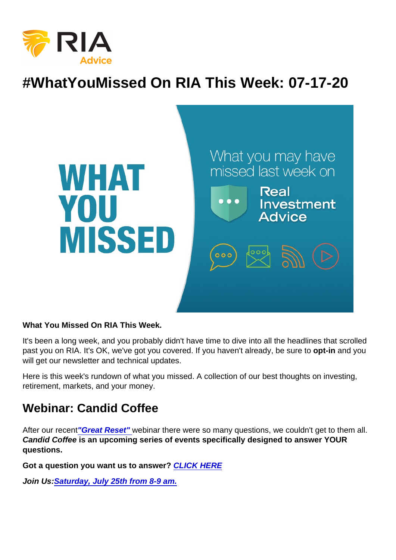# #WhatYouMissed On RIA This Week: 07-17-20

What You Missed On RIA This Week.

It's been a long week, and you probably didn't have time to dive into all the headlines that scrolled past you on RIA. It's OK, we've got you covered. If you haven't already, be sure to opt-in and you will get our newsletter and technical updates.

Here is this week's rundown of what you missed. A collection of our best thoughts on investing, retirement, markets, and your money.

#### Webinar: Candid Coffee

After our recent["Great Reset" w](https://youtu.be/P8aDNLNoxbQ)ebinar there were so many questions, we couldn't get to them all. Candid Coffee is an upcoming series of events specifically designed to answer YOUR questions.

Got a question you want us to answer? [CLICK HERE](mailto:questions@realinvestmentadvice.com)

Join Us: [Saturday, July 25th from 8-9 am.](https://register.gotowebinar.com/rt/8069640600037624590?source=RIA+Website)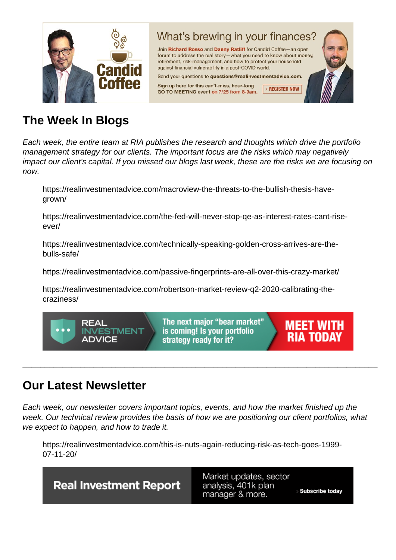# The Week In Blogs

Each week, the entire team at RIA publishes the research and thoughts which drive the portfolio management strategy for our clients. The important focus are the risks which may negatively impact our client's capital. If you missed our blogs last week, these are the risks we are focusing on now.

https://realinvestmentadvice.com/macroview-the-threats-to-the-bullish-thesis-havegrown/

https://realinvestmentadvice.com/the-fed-will-never-stop-qe-as-interest-rates-cant-riseever/

https://realinvestmentadvice.com/technically-speaking-golden-cross-arrives-are-thebulls-safe/

https://realinvestmentadvice.com/passive-fingerprints-are-all-over-this-crazy-market/

https://realinvestmentadvice.com/robertson-market-review-q2-2020-calibrating-thecraziness/

### Our Latest Newsletter

Each week, our newsletter covers important topics, events, and how the market finished up the week. Our technical review provides the basis of how we are positioning our client portfolios, what we expect to happen, and how to trade it.

\_\_\_\_\_\_\_\_\_\_\_\_\_\_\_\_\_\_\_\_\_\_\_\_\_\_\_\_\_\_\_\_\_\_\_\_\_\_\_\_\_\_\_\_\_\_\_\_\_\_\_\_\_\_\_\_\_\_\_\_\_\_\_\_\_\_\_\_\_\_\_\_\_\_\_\_\_\_\_\_

https://realinvestmentadvice.com/this-is-nuts-again-reducing-risk-as-tech-goes-1999- 07-11-20/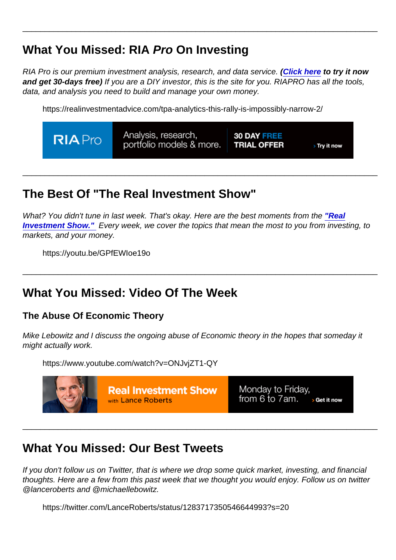# What You Missed: RIA Pro On Investing

RIA Pro is our premium investment analysis, research, and data service. [\(Click here](https://riapro.net/register) to try it now and get 30-days free) If you are a DIY investor, this is the site for you. RIAPRO has all the tools, data, and analysis you need to build and manage your own money.

\_\_\_\_\_\_\_\_\_\_\_\_\_\_\_\_\_\_\_\_\_\_\_\_\_\_\_\_\_\_\_\_\_\_\_\_\_\_\_\_\_\_\_\_\_\_\_\_\_\_\_\_\_\_\_\_\_\_\_\_\_\_\_\_\_\_\_\_\_\_\_\_\_\_\_\_\_\_\_\_

https://realinvestmentadvice.com/tpa-analytics-this-rally-is-impossibly-narrow-2/

### The Best Of "The Real Investment Show"

What? You didn't tune in last week. That's okay. Here are the best moments from the ["Real](https://www.youtube.com/channel/UCXVMMgEidXlrTM1coedg70A/videos) [Investment Show."](https://www.youtube.com/channel/UCXVMMgEidXlrTM1coedg70A/videos) Every week, we cover the topics that mean the most to you from investing, to markets, and your money.

\_\_\_\_\_\_\_\_\_\_\_\_\_\_\_\_\_\_\_\_\_\_\_\_\_\_\_\_\_\_\_\_\_\_\_\_\_\_\_\_\_\_\_\_\_\_\_\_\_\_\_\_\_\_\_\_\_\_\_\_\_\_\_\_\_\_\_\_\_\_\_\_\_\_\_\_\_\_\_\_

\_\_\_\_\_\_\_\_\_\_\_\_\_\_\_\_\_\_\_\_\_\_\_\_\_\_\_\_\_\_\_\_\_\_\_\_\_\_\_\_\_\_\_\_\_\_\_\_\_\_\_\_\_\_\_\_\_\_\_\_\_\_\_\_\_\_\_\_\_\_\_\_\_\_\_\_\_\_\_\_

https://youtu.be/GPfEWIoe19o

#### What You Missed: Video Of The Week

The Abuse Of Economic Theory

Mike Lebowitz and I discuss the ongoing abuse of Economic theory in the hopes that someday it might actually work.

https://www.youtube.com/watch?v=ONJvjZT1-QY

### What You Missed: Our Best Tweets

If you don't follow us on Twitter, that is where we drop some quick market, investing, and financial thoughts. Here are a few from this past week that we thought you would enjoy. Follow us on twitter @lanceroberts and @michaellebowitz.

\_\_\_\_\_\_\_\_\_\_\_\_\_\_\_\_\_\_\_\_\_\_\_\_\_\_\_\_\_\_\_\_\_\_\_\_\_\_\_\_\_\_\_\_\_\_\_\_\_\_\_\_\_\_\_\_\_\_\_\_\_\_\_\_\_\_\_\_\_\_\_\_\_\_\_\_\_\_\_\_

https://twitter.com/LanceRoberts/status/1283717350546644993?s=20